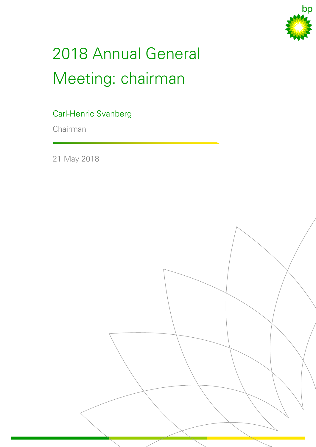

## 2018 Annual General Meeting: chairman

Carl-Henric Svanberg

Chairman

21 May 2018

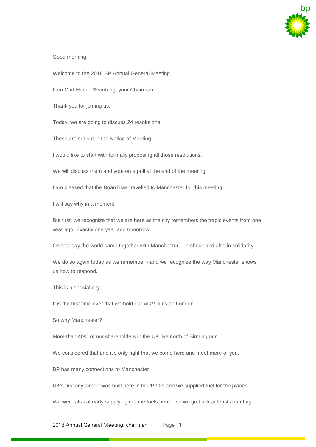

Good morning,

Welcome to the 2018 BP Annual General Meeting.

I am Carl-Henric Svanberg, your Chairman.

Thank you for joining us.

Today, we are going to discuss 24 resolutions.

These are set out in the Notice of Meeting.

I would like to start with formally proposing all those resolutions.

We will discuss them and vote on a poll at the end of the meeting.

I am pleased that the Board has travelled to Manchester for this meeting.

I will say why in a moment.

But first, we recognize that we are here as the city remembers the tragic events from one year ago. Exactly one year ago tomorrow.

On that day the world came together with Manchester – in shock and also in solidarity.

We do so again today as we remember - and we recognize the way Manchester shows us how to respond.

This is a special city.

It is the first time ever that we hold our AGM outside London.

So why Manchester?

More than 40% of our shareholders in the UK live north of Birmingham.

We considered that and it's only right that we come here and meet more of you.

BP has many connections to Manchester.

UK's first city airport was built here in the 1920s and we supplied fuel for the planes.

We were also already supplying marine fuels here – so we go back at least a century.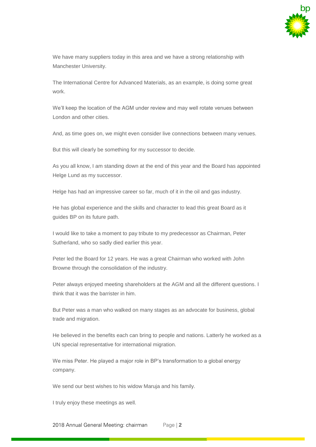

We have many suppliers today in this area and we have a strong relationship with Manchester University.

The International Centre for Advanced Materials, as an example, is doing some great work.

We'll keep the location of the AGM under review and may well rotate venues between London and other cities.

And, as time goes on, we might even consider live connections between many venues.

But this will clearly be something for my successor to decide.

As you all know, I am standing down at the end of this year and the Board has appointed Helge Lund as my successor.

Helge has had an impressive career so far, much of it in the oil and gas industry.

He has global experience and the skills and character to lead this great Board as it guides BP on its future path.

I would like to take a moment to pay tribute to my predecessor as Chairman, Peter Sutherland, who so sadly died earlier this year.

Peter led the Board for 12 years. He was a great Chairman who worked with John Browne through the consolidation of the industry.

Peter always enjoyed meeting shareholders at the AGM and all the different questions. I think that it was the barrister in him.

But Peter was a man who walked on many stages as an advocate for business, global trade and migration.

He believed in the benefits each can bring to people and nations. Latterly he worked as a UN special representative for international migration.

We miss Peter. He played a major role in BP's transformation to a global energy company.

We send our best wishes to his widow Maruja and his family.

I truly enjoy these meetings as well.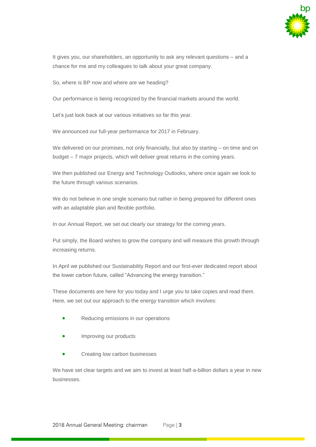

It gives you, our shareholders, an opportunity to ask any relevant questions – and a chance for me and my colleagues to talk about your great company.

So, where is BP now and where are we heading?

Our performance is being recognized by the financial markets around the world.

Let's just look back at our various initiatives so far this year.

We announced our full-year performance for 2017 in February.

We delivered on our promises, not only financially, but also by starting – on time and on budget – 7 major projects, which will deliver great returns in the coming years.

We then published our Energy and Technology Outlooks, where once again we look to the future through various scenarios.

We do not believe in one single scenario but rather in being prepared for different ones with an adaptable plan and flexible portfolio.

In our Annual Report, we set out clearly our strategy for the coming years.

Put simply, the Board wishes to grow the company and will measure this growth through increasing returns.

In April we published our Sustainability Report and our first-ever dedicated report about the lower carbon future, called "Advancing the energy transition."

These documents are here for you today and I urge you to take copies and read them. Here, we set out our approach to the energy transition which involves:

- Reducing emissions in our operations
- Improving our products
- Creating low carbon businesses

We have set clear targets and we aim to invest at least half-a-billion dollars a year in new businesses.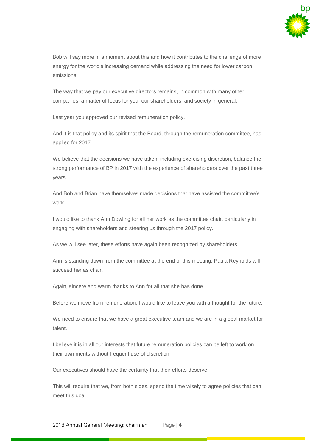

Bob will say more in a moment about this and how it contributes to the challenge of more energy for the world's increasing demand while addressing the need for lower carbon emissions.

The way that we pay our executive directors remains, in common with many other companies, a matter of focus for you, our shareholders, and society in general.

Last year you approved our revised remuneration policy.

And it is that policy and its spirit that the Board, through the remuneration committee, has applied for 2017.

We believe that the decisions we have taken, including exercising discretion, balance the strong performance of BP in 2017 with the experience of shareholders over the past three years.

And Bob and Brian have themselves made decisions that have assisted the committee's work.

I would like to thank Ann Dowling for all her work as the committee chair, particularly in engaging with shareholders and steering us through the 2017 policy.

As we will see later, these efforts have again been recognized by shareholders.

Ann is standing down from the committee at the end of this meeting. Paula Reynolds will succeed her as chair.

Again, sincere and warm thanks to Ann for all that she has done.

Before we move from remuneration, I would like to leave you with a thought for the future.

We need to ensure that we have a great executive team and we are in a global market for talent.

I believe it is in all our interests that future remuneration policies can be left to work on their own merits without frequent use of discretion.

Our executives should have the certainty that their efforts deserve.

This will require that we, from both sides, spend the time wisely to agree policies that can meet this goal.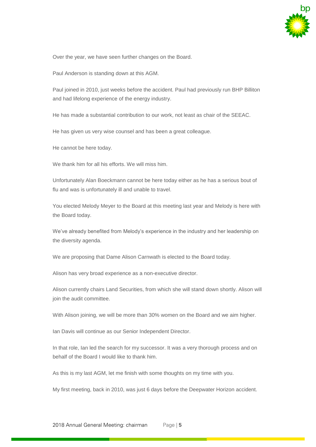

Over the year, we have seen further changes on the Board.

Paul Anderson is standing down at this AGM.

Paul joined in 2010, just weeks before the accident. Paul had previously run BHP Billiton and had lifelong experience of the energy industry.

He has made a substantial contribution to our work, not least as chair of the SEEAC.

He has given us very wise counsel and has been a great colleague.

He cannot be here today.

We thank him for all his efforts. We will miss him.

Unfortunately Alan Boeckmann cannot be here today either as he has a serious bout of flu and was is unfortunately ill and unable to travel.

You elected Melody Meyer to the Board at this meeting last year and Melody is here with the Board today.

We've already benefited from Melody's experience in the industry and her leadership on the diversity agenda.

We are proposing that Dame Alison Carnwath is elected to the Board today.

Alison has very broad experience as a non-executive director.

Alison currently chairs Land Securities, from which she will stand down shortly. Alison will join the audit committee.

With Alison joining, we will be more than 30% women on the Board and we aim higher.

Ian Davis will continue as our Senior Independent Director.

In that role, Ian led the search for my successor. It was a very thorough process and on behalf of the Board I would like to thank him.

As this is my last AGM, let me finish with some thoughts on my time with you.

My first meeting, back in 2010, was just 6 days before the Deepwater Horizon accident.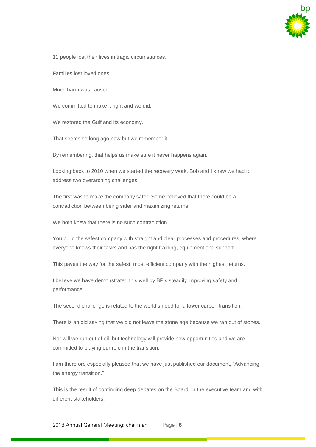

11 people lost their lives in tragic circumstances.

Families lost loved ones.

Much harm was caused.

We committed to make it right and we did.

We restored the Gulf and its economy.

That seems so long ago now but we remember it.

By remembering, that helps us make sure it never happens again.

Looking back to 2010 when we started the recovery work, Bob and I knew we had to address two overarching challenges.

The first was to make the company safer. Some believed that there could be a contradiction between being safer and maximizing returns.

We both knew that there is no such contradiction.

You build the safest company with straight and clear processes and procedures, where everyone knows their tasks and has the right training, equipment and support.

This paves the way for the safest, most efficient company with the highest returns.

I believe we have demonstrated this well by BP's steadily improving safety and performance.

The second challenge is related to the world's need for a lower carbon transition.

There is an old saying that we did not leave the stone age because we ran out of stones.

Nor will we run out of oil, but technology will provide new opportunities and we are committed to playing our role in the transition.

I am therefore especially pleased that we have just published our document, "Advancing the energy transition."

This is the result of continuing deep debates on the Board, in the executive team and with different stakeholders.